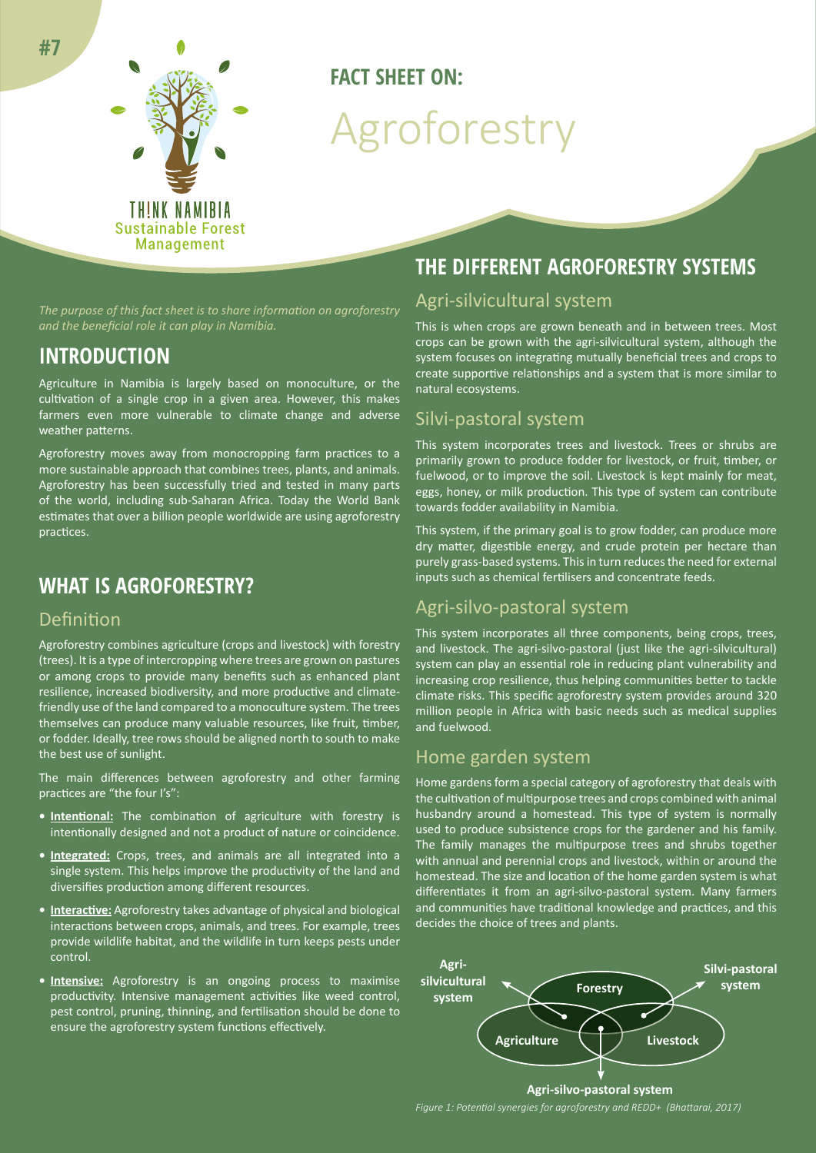

# **FACT SHEET ON:** Agroforestry

*The purpose of this fact sheet is to share information on agroforestry and the beneficial role it can play in Namibia.*

### **INTRODUCTION**

Agriculture in Namibia is largely based on monoculture, or the cultivation of a single crop in a given area. However, this makes farmers even more vulnerable to climate change and adverse weather patterns.

Agroforestry moves away from monocropping farm practices to a more sustainable approach that combines trees, plants, and animals. Agroforestry has been successfully tried and tested in many parts of the world, including sub-Saharan Africa. Today the World Bank estimates that over a billion people worldwide are using agroforestry practices.

### **WHAT IS AGROFORESTRY?**

#### Definition

Agroforestry combines agriculture (crops and livestock) with forestry (trees). It is a type of intercropping where trees are grown on pastures or among crops to provide many benefits such as enhanced plant resilience, increased biodiversity, and more productive and climatefriendly use of the land compared to a monoculture system. The trees themselves can produce many valuable resources, like fruit, timber, or fodder. Ideally, tree rows should be aligned north to south to make the best use of sunlight.

The main differences between agroforestry and other farming practices are "the four I's":

- **• Intentional:** The combination of agriculture with forestry is intentionally designed and not a product of nature or coincidence.
- **• Integrated:** Crops, trees, and animals are all integrated into a single system. This helps improve the productivity of the land and diversifies production among different resources.
- **• Interactive:** Agroforestry takes advantage of physical and biological interactions between crops, animals, and trees. For example, trees provide wildlife habitat, and the wildlife in turn keeps pests under control.
- **• Intensive:** Agroforestry is an ongoing process to maximise productivity. Intensive management activities like weed control, pest control, pruning, thinning, and fertilisation should be done to ensure the agroforestry system functions effectively.

## **THE DIFFERENT AGROFORESTRY SYSTEMS**

### Agri-silvicultural system

This is when crops are grown beneath and in between trees. Most crops can be grown with the agri-silvicultural system, although the system focuses on integrating mutually beneficial trees and crops to create supportive relationships and a system that is more similar to natural ecosystems.

#### Silvi-pastoral system

This system incorporates trees and livestock. Trees or shrubs are primarily grown to produce fodder for livestock, or fruit, timber, or fuelwood, or to improve the soil. Livestock is kept mainly for meat, eggs, honey, or milk production. This type of system can contribute towards fodder availability in Namibia.

This system, if the primary goal is to grow fodder, can produce more dry matter, digestible energy, and crude protein per hectare than purely grass-based systems. This in turn reduces the need for external inputs such as chemical fertilisers and concentrate feeds.

#### Agri-silvo-pastoral system

This system incorporates all three components, being crops, trees, and livestock. The agri-silvo-pastoral (just like the agri-silvicultural) system can play an essential role in reducing plant vulnerability and increasing crop resilience, thus helping communities better to tackle climate risks. This specific agroforestry system provides around 320 million people in Africa with basic needs such as medical supplies and fuelwood.

#### Home garden system

Home gardens form a special category of agroforestry that deals with the cultivation of multipurpose trees and crops combined with animal husbandry around a homestead. This type of system is normally used to produce subsistence crops for the gardener and his family. The family manages the multipurpose trees and shrubs together with annual and perennial crops and livestock, within or around the homestead. The size and location of the home garden system is what differentiates it from an agri-silvo-pastoral system. Many farmers and communities have traditional knowledge and practices, and this decides the choice of trees and plants.



*Figure 1: Potential synergies for agroforestry and REDD+ (Bhattarai, 2017)*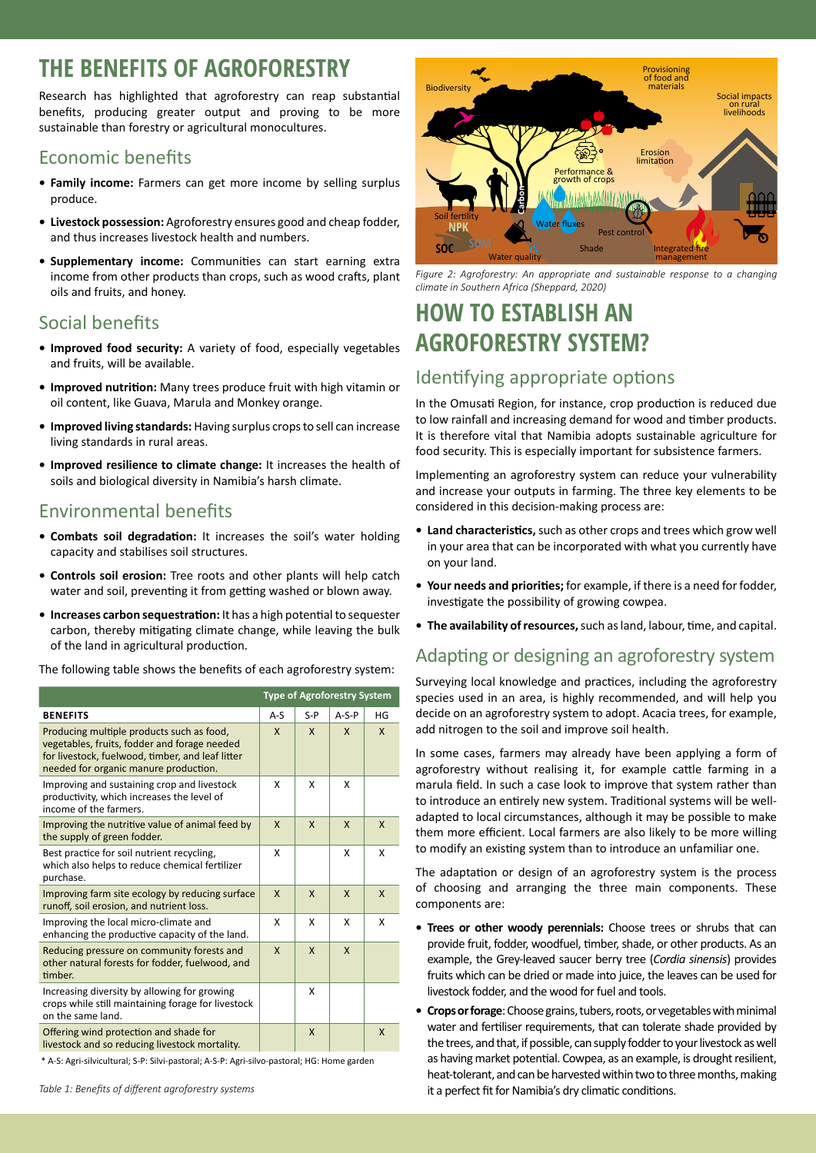## **THE BENEFITS OF AGROFORESTRY**

Research has highlighted that agroforestry can reap substantial benefits, producing greater output and proving to be more sustainable than forestry or agricultural monocultures.

## Economic benefits

- **• Family income:** Farmers can get more income by selling surplus produce.
- **• Livestock possession:** Agroforestry ensures good and cheap fodder, and thus increases livestock health and numbers.
- **• Supplementary income:** Communities can start earning extra income from other products than crops, such as wood crafts, plant oils and fruits, and honey.

### Social benefits

- **• Improved food security:** A variety of food, especially vegetables and fruits, will be available.
- **• Improved nutrition:** Many trees produce fruit with high vitamin or oil content, like Guava, Marula and Monkey orange.
- **• Improved living standards:** Having surplus crops to sell can increase living standards in rural areas.
- **• Improved resilience to climate change:** It increases the health of soils and biological diversity in Namibia's harsh climate.

## Environmental benefits

- **• Combats soil degradation:** It increases the soil's water holding capacity and stabilises soil structures.
- **• Controls soil erosion:** Tree roots and other plants will help catch water and soil, preventing it from getting washed or blown away.
- **• Increases carbon sequestration:** It has a high potential to sequester carbon, thereby mitigating climate change, while leaving the bulk of the land in agricultural production.

The following table shows the benefits of each agroforestry system:

|                                                                                                                                                                                        | <b>Type of Agroforestry System</b> |              |              |    |
|----------------------------------------------------------------------------------------------------------------------------------------------------------------------------------------|------------------------------------|--------------|--------------|----|
| <b>BENEFITS</b>                                                                                                                                                                        | $A-S$                              | $S - P$      | $A-S-P$      | HG |
| Producing multiple products such as food,<br>vegetables, fruits, fodder and forage needed<br>for livestock, fuelwood, timber, and leaf litter<br>needed for organic manure production. | $\mathsf{x}$                       | $\mathsf{x}$ | $\mathsf{x}$ | X  |
| Improving and sustaining crop and livestock<br>productivity, which increases the level of<br>income of the farmers.                                                                    | x                                  | x            | x            |    |
| Improving the nutritive value of animal feed by<br>the supply of green fodder.                                                                                                         | $\mathsf{x}$                       | $\mathsf{x}$ | $\mathsf{x}$ | X  |
| Best practice for soil nutrient recycling,<br>which also helps to reduce chemical fertilizer<br>purchase.                                                                              | x                                  |              | x            | x  |
| Improving farm site ecology by reducing surface<br>runoff, soil erosion, and nutrient loss.                                                                                            | $\mathsf{x}$                       | $\mathsf{x}$ | $\mathsf{x}$ | X  |
| Improving the local micro-climate and<br>enhancing the productive capacity of the land.                                                                                                | x                                  | x            | x            | x  |
| Reducing pressure on community forests and<br>other natural forests for fodder, fuelwood, and<br>timber.                                                                               | X                                  | $\mathsf{x}$ | X            |    |
| Increasing diversity by allowing for growing<br>crops while still maintaining forage for livestock<br>on the same land.                                                                |                                    | X            |              |    |
| Offering wind protection and shade for<br>livestock and so reducing livestock mortality.                                                                                               |                                    | $\mathsf{x}$ |              | X  |

\* A-S: Agri-silvicultural; S-P: Silvi-pastoral; A-S-P: Agri-silvo-pastoral; HG: Home garden



*Figure 2: Agroforestry: An appropriate and sustainable response to a changing climate in Southern Africa (Sheppard, 2020)*

## **HOW TO ESTABLISH AN AGROFORESTRY SYSTEM?**

## Identifying appropriate options

In the Omusati Region, for instance, crop production is reduced due to low rainfall and increasing demand for wood and timber products. It is therefore vital that Namibia adopts sustainable agriculture for food security. This is especially important for subsistence farmers.

Implementing an agroforestry system can reduce your vulnerability and increase your outputs in farming. The three key elements to be considered in this decision-making process are:

- **• Land characteristics,** such as other crops and trees which grow well in your area that can be incorporated with what you currently have on your land.
- **• Your needs and priorities;** for example, if there is a need for fodder, investigate the possibility of growing cowpea.
- **• The availability of resources,** such as land, labour, time, and capital.

## Adapting or designing an agroforestry system

Surveying local knowledge and practices, including the agroforestry species used in an area, is highly recommended, and will help you decide on an agroforestry system to adopt. Acacia trees, for example, add nitrogen to the soil and improve soil health.

In some cases, farmers may already have been applying a form of agroforestry without realising it, for example cattle farming in a marula field. In such a case look to improve that system rather than to introduce an entirely new system. Traditional systems will be welladapted to local circumstances, although it may be possible to make them more efficient. Local farmers are also likely to be more willing to modify an existing system than to introduce an unfamiliar one.

The adaptation or design of an agroforestry system is the process of choosing and arranging the three main components. These components are:

- **• Trees or other woody perennials:** Choose trees or shrubs that can provide fruit, fodder, woodfuel, timber, shade, or other products. As an example, the Grey-leaved saucer berry tree (*Cordia sinensis*) provides fruits which can be dried or made into juice, the leaves can be used for livestock fodder, and the wood for fuel and tools.
- **• Crops or forage**: Choose grains, tubers, roots, or vegetables with minimal water and fertiliser requirements, that can tolerate shade provided by the trees, and that, if possible, can supply fodder to your livestock as well as having market potential. Cowpea, as an example, is drought resilient, heat-tolerant, and can be harvested within two to three months, making it a perfect fit for Namibia's dry climatic conditions.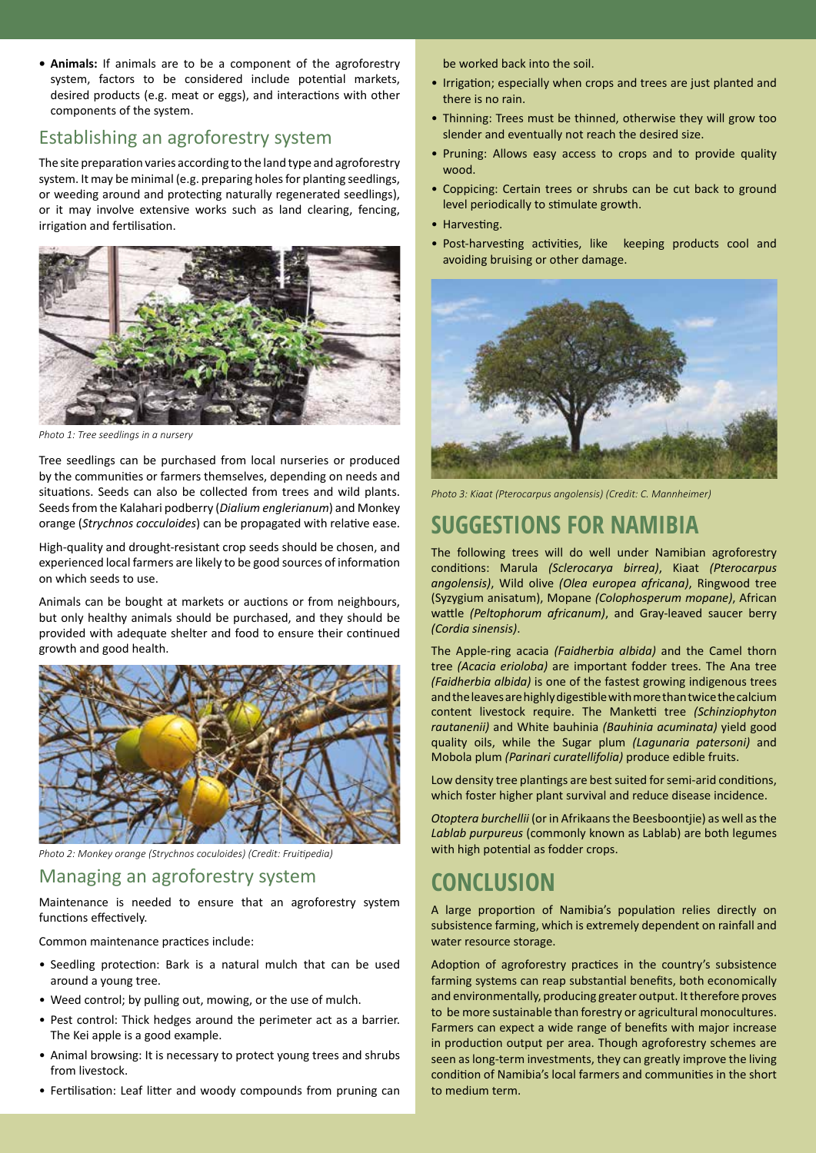**• Animals:** If animals are to be a component of the agroforestry system, factors to be considered include potential markets, desired products (e.g. meat or eggs), and interactions with other components of the system.

#### Establishing an agroforestry system

The site preparation varies according to the land type and agroforestry system. It may be minimal (e.g. preparing holes for planting seedlings, or weeding around and protecting naturally regenerated seedlings), or it may involve extensive works such as land clearing, fencing, irrigation and fertilisation.



*Photo 1: Tree seedlings in a nursery*

Tree seedlings can be purchased from local nurseries or produced by the communities or farmers themselves, depending on needs and situations. Seeds can also be collected from trees and wild plants. Seeds from the Kalahari podberry (*Dialium englerianum*) and Monkey orange (*Strychnos cocculoides*) can be propagated with relative ease.

High-quality and drought-resistant crop seeds should be chosen, and experienced local farmers are likely to be good sources of information on which seeds to use.

Animals can be bought at markets or auctions or from neighbours, but only healthy animals should be purchased, and they should be provided with adequate shelter and food to ensure their continued growth and good health.



*Photo 2: Monkey orange (Strychnos coculoides) (Credit: Fruitipedia)*

#### Managing an agroforestry system

Maintenance is needed to ensure that an agroforestry system functions effectively.

Common maintenance practices include:

- Seedling protection: Bark is a natural mulch that can be used around a young tree.
- Weed control; by pulling out, mowing, or the use of mulch.
- Pest control: Thick hedges around the perimeter act as a barrier. The Kei apple is a good example.
- Animal browsing: It is necessary to protect young trees and shrubs from livestock.
- Fertilisation: Leaf litter and woody compounds from pruning can

be worked back into the soil.

- Irrigation; especially when crops and trees are just planted and there is no rain.
- Thinning: Trees must be thinned, otherwise they will grow too slender and eventually not reach the desired size.
- Pruning: Allows easy access to crops and to provide quality wood.
- Coppicing: Certain trees or shrubs can be cut back to ground level periodically to stimulate growth.
- Harvesting.
- Post-harvesting activities, like keeping products cool and avoiding bruising or other damage.



*Photo 3: Kiaat (Pterocarpus angolensis) (Credit: C. Mannheimer)*

## **SUGGESTIONS FOR NAMIBIA**

The following trees will do well under Namibian agroforestry conditions: Marula *(Sclerocarya birrea)*, Kiaat *(Pterocarpus angolensis)*, Wild olive *(Olea europea africana)*, Ringwood tree (Syzygium anisatum), Mopane *(Colophosperum mopane)*, African wattle *(Peltophorum africanum)*, and Gray-leaved saucer berry *(Cordia sinensis)*.

The Apple-ring acacia *(Faidherbia albida)* and the Camel thorn tree *(Acacia erioloba)* are important fodder trees. The Ana tree *(Faidherbia albida)* is one of the fastest growing indigenous trees and the leaves are highly digestible with more than twice the calcium content livestock require. The Manketti tree *(Schinziophyton rautanenii)* and White bauhinia *(Bauhinia acuminata)* yield good quality oils, while the Sugar plum *(Lagunaria patersoni)* and Mobola plum *(Parinari curatellifolia)* produce edible fruits.

Low density tree plantings are best suited for semi-arid conditions, which foster higher plant survival and reduce disease incidence.

*Otoptera burchellii* (or in Afrikaans the Beesboontjie) as well as the *Lablab purpureus* (commonly known as Lablab) are both legumes with high potential as fodder crops.

## **CONCLUSION**

A large proportion of Namibia's population relies directly on subsistence farming, which is extremely dependent on rainfall and water resource storage.

Adoption of agroforestry practices in the country's subsistence farming systems can reap substantial benefits, both economically and environmentally, producing greater output. It therefore proves to be more sustainable than forestry or agricultural monocultures. Farmers can expect a wide range of benefits with major increase in production output per area. Though agroforestry schemes are seen as long-term investments, they can greatly improve the living condition of Namibia's local farmers and communities in the short to medium term.